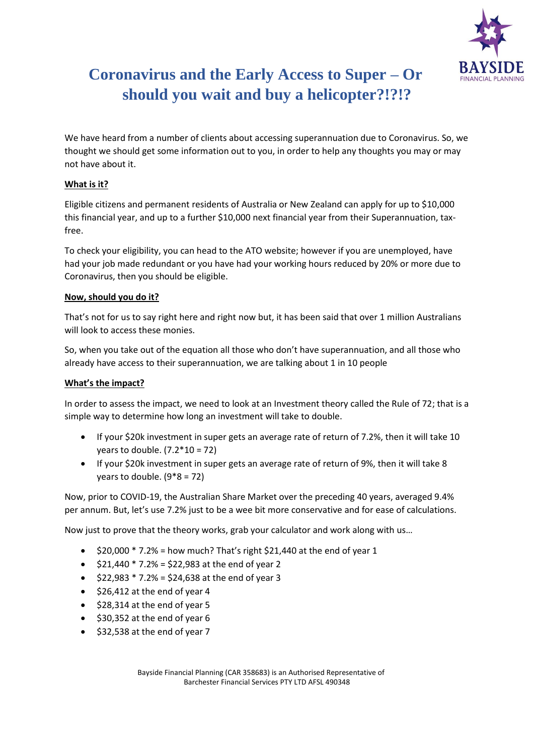

# **Coronavirus and the Early Access to Super – Or should you wait and buy a helicopter?!?!?**

We have heard from a number of clients about accessing superannuation due to Coronavirus. So, we thought we should get some information out to you, in order to help any thoughts you may or may not have about it.

# **What is it?**

Eligible citizens and permanent residents of Australia or New Zealand can apply for up to \$10,000 this financial year, and up to a further \$10,000 next financial year from their Superannuation, taxfree.

To check your eligibility, you can head to the ATO website; however if you are unemployed, have had your job made redundant or you have had your working hours reduced by 20% or more due to Coronavirus, then you should be eligible.

### **Now, should you do it?**

That's not for us to say right here and right now but, it has been said that over 1 million Australians will look to access these monies.

So, when you take out of the equation all those who don't have superannuation, and all those who already have access to their superannuation, we are talking about 1 in 10 people

# **What's the impact?**

In order to assess the impact, we need to look at an Investment theory called the Rule of 72; that is a simple way to determine how long an investment will take to double.

- If your \$20k investment in super gets an average rate of return of 7.2%, then it will take 10 vears to double.  $(7.2 * 10 = 72)$
- If your \$20k investment in super gets an average rate of return of 9%, then it will take 8 years to double. (9\*8 = 72)

Now, prior to COVID-19, the Australian Share Market over the preceding 40 years, averaged 9.4% per annum. But, let's use 7.2% just to be a wee bit more conservative and for ease of calculations.

Now just to prove that the theory works, grab your calculator and work along with us…

- $\bullet$  \$20,000  $*$  7.2% = how much? That's right \$21,440 at the end of year 1
- $\bullet$  \$21,440  $*$  7.2% = \$22,983 at the end of year 2
- $$22,983 * 7.2% = $24,638 at the end of year 3$
- \$26,412 at the end of year 4
- \$28,314 at the end of year 5
- \$30,352 at the end of year 6
- \$32,538 at the end of year 7